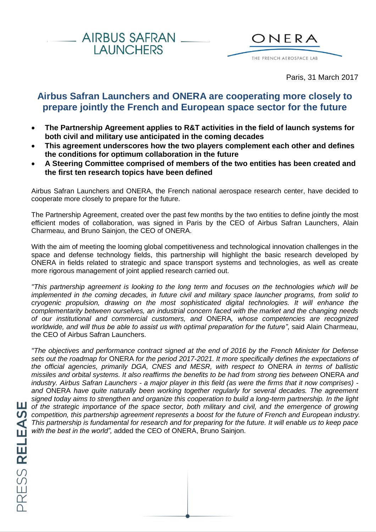



Paris, 31 March 2017

# **Airbus Safran Launchers and ONERA are cooperating more closely to prepare jointly the French and European space sector for the future**

- **The Partnership Agreement applies to R&T activities in the field of launch systems for both civil and military use anticipated in the coming decades**
- **This agreement underscores how the two players complement each other and defines the conditions for optimum collaboration in the future**
- **A Steering Committee comprised of members of the two entities has been created and the first ten research topics have been defined**

Airbus Safran Launchers and ONERA, the French national aerospace research center, have decided to cooperate more closely to prepare for the future.

The Partnership Agreement, created over the past few months by the two entities to define jointly the most efficient modes of collaboration, was signed in Paris by the CEO of Airbus Safran Launchers, Alain Charmeau, and Bruno Sainjon, the CEO of ONERA.

With the aim of meeting the looming global competitiveness and technological innovation challenges in the space and defense technology fields, this partnership will highlight the basic research developed by ONERA in fields related to strategic and space transport systems and technologies, as well as create more rigorous management of joint applied research carried out.

*"This partnership agreement is looking to the long term and focuses on the technologies which will be implemented in the coming decades, in future civil and military space launcher programs, from solid to cryogenic propulsion, drawing on the most sophisticated digital technologies. It will enhance the complementarity between ourselves, an industrial concern faced with the market and the changing needs of our institutional and commercial customers, and* ONERA*, whose competencies are recognized worldwide, and will thus be able to assist us with optimal preparation for the future"*, said Alain Charmeau, the CEO of Airbus Safran Launchers.

*"The objectives and performance contract signed at the end of 2016 by the French Minister for Defense sets out the roadmap for* ONERA *for the period 2017-2021. It more specifically defines the expectations of the official agencies, primarily DGA, CNES and MESR, with respect to* ONERA *in terms of ballistic missiles and orbital systems. It also reaffirms the benefits to be had from strong ties between* ONERA *and industry. Airbus Safran Launchers - a major player in this field (as were the firms that it now comprises) and* ONERA *have quite naturally been working together regularly for several decades. The agreement signed today aims to strengthen and organize this cooperation to build a long-term partnership. In the light*  **LU** of the strategic importance of the space sector, both military and civil, and the emergence of growing *competition, this partnership agreement represents a boost for the future of French and European industry. This partnership is fundamental for research and for preparing for the future. It will enable us to keep pace with the best in the world",* added the CEO of ONERA, Bruno Sainjon.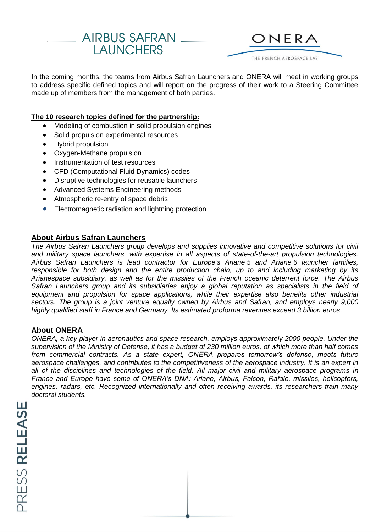



In the coming months, the teams from Airbus Safran Launchers and ONERA will meet in working groups to address specific defined topics and will report on the progress of their work to a Steering Committee made up of members from the management of both parties.

### **The 10 research topics defined for the partnership:**

- Modeling of combustion in solid propulsion engines
- Solid propulsion experimental resources
- Hybrid propulsion
- Oxygen-Methane propulsion
- Instrumentation of test resources
- CFD (Computational Fluid Dynamics) codes
- Disruptive technologies for reusable launchers
- Advanced Systems Engineering methods
- Atmospheric re-entry of space debris
- Electromagnetic radiation and lightning protection

### **About Airbus Safran Launchers**

*The Airbus Safran Launchers group develops and supplies innovative and competitive solutions for civil and military space launchers, with expertise in all aspects of state-of-the-art propulsion technologies. Airbus Safran Launchers is lead contractor for Europe's Ariane 5 and Ariane 6 launcher families, responsible for both design and the entire production chain, up to and including marketing by its Arianespace subsidiary, as well as for the missiles of the French oceanic deterrent force. The Airbus Safran Launchers group and its subsidiaries enjoy a global reputation as specialists in the field of equipment and propulsion for space applications, while their expertise also benefits other industrial sectors. The group is a joint venture equally owned by Airbus and Safran, and employs nearly 9,000 highly qualified staff in France and Germany. Its estimated proforma revenues exceed 3 billion euros.*

### **About ONERA**

*ONERA, a key player in aeronautics and space research, employs approximately 2000 people. Under the supervision of the Ministry of Defense, it has a budget of 230 million euros, of which more than half comes from commercial contracts. As a state expert, ONERA prepares tomorrow's defense, meets future aerospace challenges, and contributes to the competitiveness of the aerospace industry. It is an expert in all of the disciplines and technologies of the field. All major civil and military aerospace programs in France and Europe have some of ONERA's DNA: Ariane, Airbus, Falcon, Rafale, missiles, helicopters, engines, radars, etc. Recognized internationally and often receiving awards, its researchers train many doctoral students.*